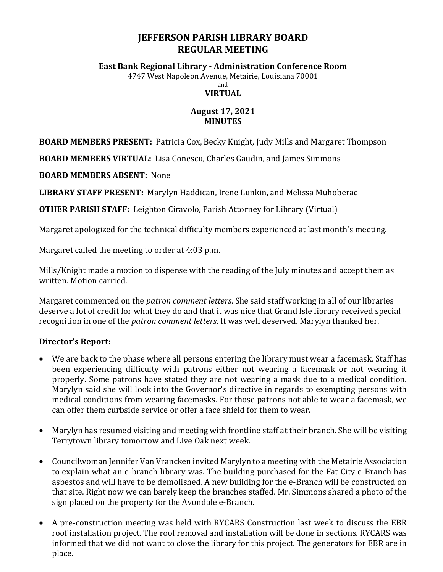## **JEFFERSON PARISH LIBRARY BOARD REGULAR MEETING**

#### **East Bank Regional Library - Administration Conference Room**

4747 West Napoleon Avenue, Metairie, Louisiana 70001

and **VIRTUAL** 

# **August 17, 2021**

### **MINUTES**

**BOARD MEMBERS PRESENT:** Patricia Cox, Becky Knight, Judy Mills and Margaret Thompson

**BOARD MEMBERS VIRTUAL:** Lisa Conescu, Charles Gaudin, and James Simmons

**BOARD MEMBERS ABSENT:** None

**LIBRARY STAFF PRESENT:** Marylyn Haddican, Irene Lunkin, and Melissa Muhoberac

**OTHER PARISH STAFF:** Leighton Ciravolo, Parish Attorney for Library (Virtual)

Margaret apologized for the technical difficulty members experienced at last month's meeting.

Margaret called the meeting to order at 4:03 p.m.

Mills/Knight made a motion to dispense with the reading of the July minutes and accept them as written. Motion carried.

Margaret commented on the *patron comment letters*. She said staff working in all of our libraries deserve a lot of credit for what they do and that it was nice that Grand Isle library received special recognition in one of the *patron comment letters*. It was well deserved. Marylyn thanked her.

### **Director's Report:**

- We are back to the phase where all persons entering the library must wear a facemask. Staff has been experiencing difficulty with patrons either not wearing a facemask or not wearing it properly. Some patrons have stated they are not wearing a mask due to a medical condition. Marylyn said she will look into the Governor's directive in regards to exempting persons with medical conditions from wearing facemasks. For those patrons not able to wear a facemask, we can offer them curbside service or offer a face shield for them to wear.
- Marylyn has resumed visiting and meeting with frontline staff at their branch. She will be visiting Terrytown library tomorrow and Live Oak next week.
- Councilwoman Jennifer Van Vrancken invited Marylyn to a meeting with the Metairie Association to explain what an e-branch library was. The building purchased for the Fat City e-Branch has asbestos and will have to be demolished. A new building for the e-Branch will be constructed on that site. Right now we can barely keep the branches staffed. Mr. Simmons shared a photo of the sign placed on the property for the Avondale e-Branch.
- A pre-construction meeting was held with RYCARS Construction last week to discuss the EBR roof installation project. The roof removal and installation will be done in sections. RYCARS was informed that we did not want to close the library for this project. The generators for EBR are in place.